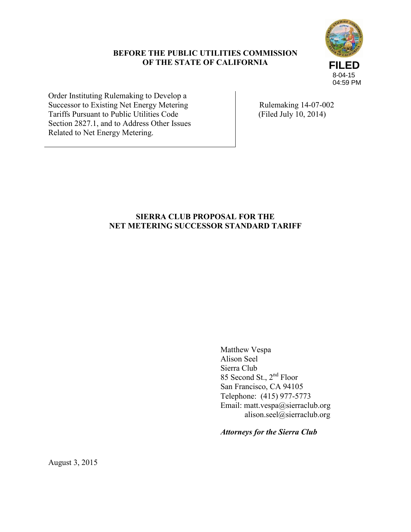# **BEFORE THE PUBLIC UTILITIES COMMISSION OF THE STATE OF CALIFORNIA**



Order Instituting Rulemaking to Develop a Successor to Existing Net Energy Metering Tariffs Pursuant to Public Utilities Code Section 2827.1, and to Address Other Issues Related to Net Energy Metering.

 Rulemaking 14-07-002 (Filed July 10, 2014)

# **SIERRA CLUB PROPOSAL FOR THE NET METERING SUCCESSOR STANDARD TARIFF**

Matthew Vespa Alison Seel Sierra Club 85 Second St., 2nd Floor San Francisco, CA 94105 Telephone: (415) 977-5773 Email: matt.vespa@sierraclub.org alison.seel@sierraclub.org

*Attorneys for the Sierra Club*

August 3, 2015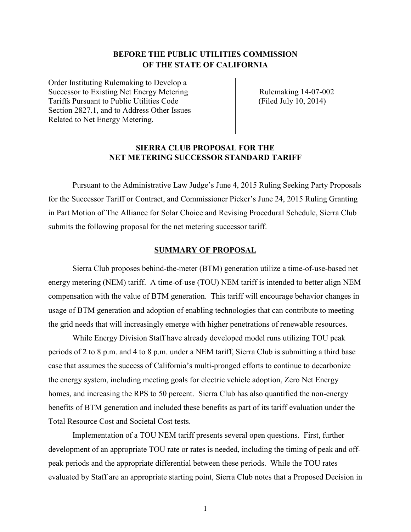# **BEFORE THE PUBLIC UTILITIES COMMISSION OF THE STATE OF CALIFORNIA**

Order Instituting Rulemaking to Develop a Successor to Existing Net Energy Metering Tariffs Pursuant to Public Utilities Code Section 2827.1, and to Address Other Issues Related to Net Energy Metering.

 Rulemaking 14-07-002 (Filed July 10, 2014)

# **SIERRA CLUB PROPOSAL FOR THE NET METERING SUCCESSOR STANDARD TARIFF**

Pursuant to the Administrative Law Judge's June 4, 2015 Ruling Seeking Party Proposals for the Successor Tariff or Contract, and Commissioner Picker's June 24, 2015 Ruling Granting in Part Motion of The Alliance for Solar Choice and Revising Procedural Schedule, Sierra Club submits the following proposal for the net metering successor tariff.

#### **SUMMARY OF PROPOSAL**

Sierra Club proposes behind-the-meter (BTM) generation utilize a time-of-use-based net energy metering (NEM) tariff. A time-of-use (TOU) NEM tariff is intended to better align NEM compensation with the value of BTM generation. This tariff will encourage behavior changes in usage of BTM generation and adoption of enabling technologies that can contribute to meeting the grid needs that will increasingly emerge with higher penetrations of renewable resources.

While Energy Division Staff have already developed model runs utilizing TOU peak periods of 2 to 8 p.m. and 4 to 8 p.m. under a NEM tariff, Sierra Club is submitting a third base case that assumes the success of California's multi-pronged efforts to continue to decarbonize the energy system, including meeting goals for electric vehicle adoption, Zero Net Energy homes, and increasing the RPS to 50 percent. Sierra Club has also quantified the non-energy benefits of BTM generation and included these benefits as part of its tariff evaluation under the Total Resource Cost and Societal Cost tests.

Implementation of a TOU NEM tariff presents several open questions. First, further development of an appropriate TOU rate or rates is needed, including the timing of peak and offpeak periods and the appropriate differential between these periods. While the TOU rates evaluated by Staff are an appropriate starting point, Sierra Club notes that a Proposed Decision in

1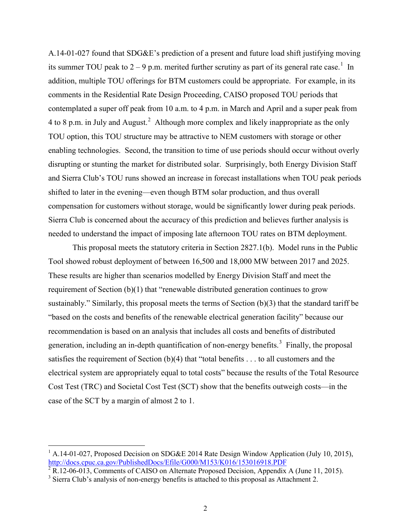A.14-01-027 found that SDG&E's prediction of a present and future load shift justifying moving its summer TOU peak to  $2 - 9$  p.m. merited further scrutiny as part of its general rate case.<sup>[1](#page-2-0)</sup> In addition, multiple TOU offerings for BTM customers could be appropriate. For example, in its comments in the Residential Rate Design Proceeding, CAISO proposed TOU periods that contemplated a super off peak from 10 a.m. to 4 p.m. in March and April and a super peak from 4 to 8 p.m. in July and August.<sup>[2](#page-2-1)</sup> Although more complex and likely inappropriate as the only TOU option, this TOU structure may be attractive to NEM customers with storage or other enabling technologies. Second, the transition to time of use periods should occur without overly disrupting or stunting the market for distributed solar. Surprisingly, both Energy Division Staff and Sierra Club's TOU runs showed an increase in forecast installations when TOU peak periods shifted to later in the evening—even though BTM solar production, and thus overall compensation for customers without storage, would be significantly lower during peak periods. Sierra Club is concerned about the accuracy of this prediction and believes further analysis is needed to understand the impact of imposing late afternoon TOU rates on BTM deployment.

This proposal meets the statutory criteria in Section 2827.1(b). Model runs in the Public Tool showed robust deployment of between 16,500 and 18,000 MW between 2017 and 2025. These results are higher than scenarios modelled by Energy Division Staff and meet the requirement of Section (b)(1) that "renewable distributed generation continues to grow sustainably." Similarly, this proposal meets the terms of Section (b)(3) that the standard tariff be "based on the costs and benefits of the renewable electrical generation facility" because our recommendation is based on an analysis that includes all costs and benefits of distributed generation, including an in-depth quantification of non-energy benefits.<sup>[3](#page-2-2)</sup> Finally, the proposal satisfies the requirement of Section (b)(4) that "total benefits . . . to all customers and the electrical system are appropriately equal to total costs" because the results of the Total Resource Cost Test (TRC) and Societal Cost Test (SCT) show that the benefits outweigh costs—in the case of the SCT by a margin of almost 2 to 1.

<span id="page-2-0"></span><sup>1</sup> A.14-01-027, Proposed Decision on SDG&E 2014 Rate Design Window Application (July 10, 2015), <http://docs.cpuc.ca.gov/PublishedDocs/Efile/G000/M153/K016/153016918.PDF>

<span id="page-2-1"></span> $2^2$  R.12-06-013, Comments of CAISO on Alternate Proposed Decision, Appendix A (June 11, 2015).

<span id="page-2-2"></span><sup>&</sup>lt;sup>3</sup> Sierra Club's analysis of non-energy benefits is attached to this proposal as Attachment 2.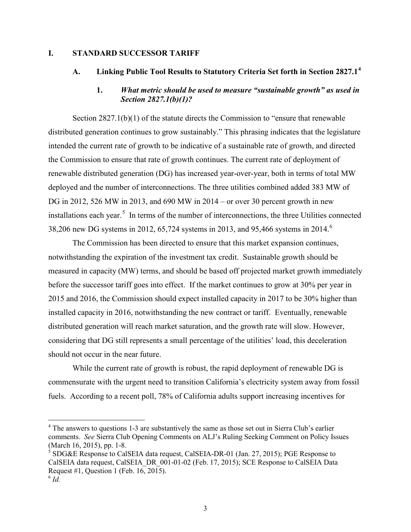### **I. STANDARD SUCCESSOR TARIFF**

# **A. Linking Public Tool Results to Statutory Criteria Set forth in Section 2827.1[4](#page-3-0)**

# **1.** *What metric should be used to measure "sustainable growth" as used in Section 2827.1(b)(1)?*

Section 2827.1(b)(1) of the statute directs the Commission to "ensure that renewable distributed generation continues to grow sustainably." This phrasing indicates that the legislature intended the current rate of growth to be indicative of a sustainable rate of growth, and directed the Commission to ensure that rate of growth continues. The current rate of deployment of renewable distributed generation (DG) has increased year-over-year, both in terms of total MW deployed and the number of interconnections. The three utilities combined added 383 MW of DG in 2012, 526 MW in 2013, and 690 MW in 2014 – or over 30 percent growth in new installations each year.<sup>[5](#page-3-1)</sup> In terms of the number of interconnections, the three Utilities connected 38,20[6](#page-3-2) new DG systems in 2012, 65,724 systems in 2013, and 95,466 systems in 2014.<sup>6</sup>

The Commission has been directed to ensure that this market expansion continues, notwithstanding the expiration of the investment tax credit. Sustainable growth should be measured in capacity (MW) terms, and should be based off projected market growth immediately before the successor tariff goes into effect. If the market continues to grow at 30% per year in 2015 and 2016, the Commission should expect installed capacity in 2017 to be 30% higher than installed capacity in 2016, notwithstanding the new contract or tariff. Eventually, renewable distributed generation will reach market saturation, and the growth rate will slow. However, considering that DG still represents a small percentage of the utilities' load, this deceleration should not occur in the near future.

While the current rate of growth is robust, the rapid deployment of renewable DG is commensurate with the urgent need to transition California's electricity system away from fossil fuels. According to a recent poll, 78% of California adults support increasing incentives for

<span id="page-3-0"></span><sup>&</sup>lt;sup>4</sup> The answers to questions 1-3 are substantively the same as those set out in Sierra Club's earlier comments. *See* Sierra Club Opening Comments on ALJ's Ruling Seeking Comment on Policy Issues (March 16, 2015), pp. 1-8.

<span id="page-3-1"></span> $<sup>5</sup>$  SDG&E Response to CalSEIA data request, CalSEIA-DR-01 (Jan. 27, 2015); PGE Response to</sup> CalSEIA data request, CalSEIA\_DR\_001-01-02 (Feb. 17, 2015); SCE Response to CalSEIA Data Request #1, Question 1 (Feb. 16, 2015).

<span id="page-3-2"></span> $6 \overrightarrow{Id}$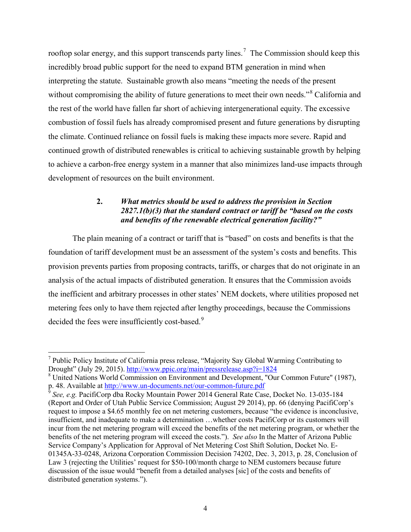rooftop solar energy, and this support transcends party lines.<sup>[7](#page-4-0)</sup> The Commission should keep this incredibly broad public support for the need to expand BTM generation in mind when interpreting the statute. Sustainable growth also means "meeting the needs of the present without compromising the ability of future generations to meet their own needs."<sup>[8](#page-4-1)</sup> California and the rest of the world have fallen far short of achieving intergenerational equity. The excessive combustion of fossil fuels has already compromised present and future generations by disrupting the climate. Continued reliance on fossil fuels is making these impacts more severe. Rapid and continued growth of distributed renewables is critical to achieving sustainable growth by helping to achieve a carbon-free energy system in a manner that also minimizes land-use impacts through development of resources on the built environment.

# **2.** *What metrics should be used to address the provision in Section 2827.1(b)(3) that the standard contract or tariff be "based on the costs and benefits of the renewable electrical generation facility?"*

 The plain meaning of a contract or tariff that is "based" on costs and benefits is that the foundation of tariff development must be an assessment of the system's costs and benefits. This provision prevents parties from proposing contracts, tariffs, or charges that do not originate in an analysis of the actual impacts of distributed generation. It ensures that the Commission avoids the inefficient and arbitrary processes in other states' NEM dockets, where utilities proposed net metering fees only to have them rejected after lengthy proceedings, because the Commissions decided the fees were insufficiently cost-based.<sup>[9](#page-4-2)</sup>

<span id="page-4-0"></span> $\overline{a}$ <sup>7</sup> Public Policy Institute of California press release, "Majority Say Global Warming Contributing to Drought" (July 29, 2015)[. http://www.ppic.org/main/pressrelease.asp?i=1824](http://www.ppic.org/main/pressrelease.asp?i=1824)

<span id="page-4-1"></span><sup>&</sup>lt;sup>8</sup> United Nations World Commission on Environment and Development, "Our Common Future" (1987), p. 48. Available a[t http://www.un-documents.net/our-common-future.pdf](http://www.un-documents.net/our-common-future.pdf)

<span id="page-4-2"></span><sup>9</sup> *See, e.g.* PacifiCorp dba Rocky Mountain Power 2014 General Rate Case, Docket No. 13-035-184 (Report and Order of Utah Public Service Commission; August 29 2014), pp. 66 (denying PacifiCorp's request to impose a \$4.65 monthly fee on net metering customers, because "the evidence is inconclusive, insufficient, and inadequate to make a determination …whether costs PacifiCorp or its customers will incur from the net metering program will exceed the benefits of the net metering program, or whether the benefits of the net metering program will exceed the costs."). *See also* In the Matter of Arizona Public Service Company's Application for Approval of Net Metering Cost Shift Solution, Docket No. E-01345A-33-0248, Arizona Corporation Commission Decision 74202, Dec. 3, 2013, p. 28, Conclusion of Law 3 (rejecting the Utilities' request for \$50-100/month charge to NEM customers because future discussion of the issue would "benefit from a detailed analyses [sic] of the costs and benefits of distributed generation systems.").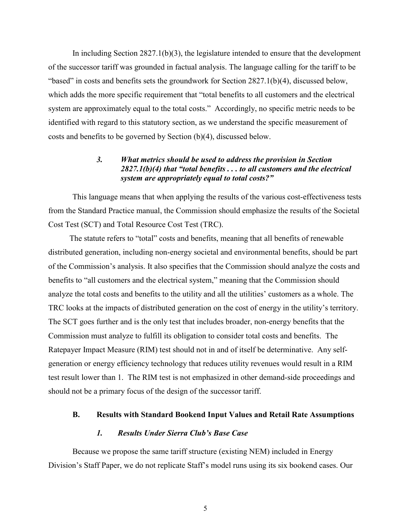In including Section  $2827.1(b)(3)$ , the legislature intended to ensure that the development of the successor tariff was grounded in factual analysis. The language calling for the tariff to be "based" in costs and benefits sets the groundwork for Section 2827.1(b)(4), discussed below, which adds the more specific requirement that "total benefits to all customers and the electrical system are approximately equal to the total costs." Accordingly, no specific metric needs to be identified with regard to this statutory section, as we understand the specific measurement of costs and benefits to be governed by Section (b)(4), discussed below.

# *3. What metrics should be used to address the provision in Section 2827.1(b)(4) that "total benefits . . . to all customers and the electrical system are appropriately equal to total costs?"*

This language means that when applying the results of the various cost-effectiveness tests from the Standard Practice manual, the Commission should emphasize the results of the Societal Cost Test (SCT) and Total Resource Cost Test (TRC).

The statute refers to "total" costs and benefits, meaning that all benefits of renewable distributed generation, including non-energy societal and environmental benefits, should be part of the Commission's analysis. It also specifies that the Commission should analyze the costs and benefits to "all customers and the electrical system," meaning that the Commission should analyze the total costs and benefits to the utility and all the utilities' customers as a whole. The TRC looks at the impacts of distributed generation on the cost of energy in the utility's territory. The SCT goes further and is the only test that includes broader, non-energy benefits that the Commission must analyze to fulfill its obligation to consider total costs and benefits. The Ratepayer Impact Measure (RIM) test should not in and of itself be determinative. Any selfgeneration or energy efficiency technology that reduces utility revenues would result in a RIM test result lower than 1. The RIM test is not emphasized in other demand-side proceedings and should not be a primary focus of the design of the successor tariff.

# **B. Results with Standard Bookend Input Values and Retail Rate Assumptions**

# *1. Results Under Sierra Club's Base Case*

Because we propose the same tariff structure (existing NEM) included in Energy Division's Staff Paper, we do not replicate Staff's model runs using its six bookend cases. Our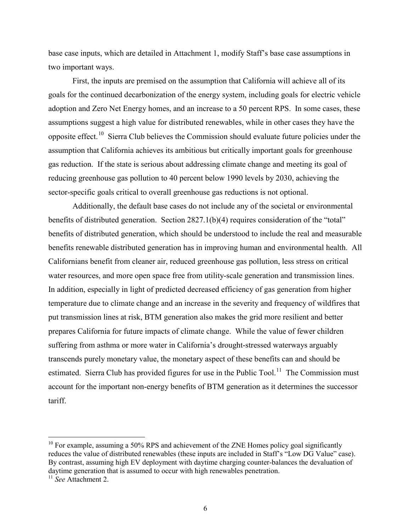base case inputs, which are detailed in Attachment 1, modify Staff's base case assumptions in two important ways.

First, the inputs are premised on the assumption that California will achieve all of its goals for the continued decarbonization of the energy system, including goals for electric vehicle adoption and Zero Net Energy homes, and an increase to a 50 percent RPS. In some cases, these assumptions suggest a high value for distributed renewables, while in other cases they have the opposite effect.[10](#page-6-0) Sierra Club believes the Commission should evaluate future policies under the assumption that California achieves its ambitious but critically important goals for greenhouse gas reduction. If the state is serious about addressing climate change and meeting its goal of reducing greenhouse gas pollution to 40 percent below 1990 levels by 2030, achieving the sector-specific goals critical to overall greenhouse gas reductions is not optional.

Additionally, the default base cases do not include any of the societal or environmental benefits of distributed generation. Section 2827.1(b)(4) requires consideration of the "total" benefits of distributed generation, which should be understood to include the real and measurable benefits renewable distributed generation has in improving human and environmental health. All Californians benefit from cleaner air, reduced greenhouse gas pollution, less stress on critical water resources, and more open space free from utility-scale generation and transmission lines. In addition, especially in light of predicted decreased efficiency of gas generation from higher temperature due to climate change and an increase in the severity and frequency of wildfires that put transmission lines at risk, BTM generation also makes the grid more resilient and better prepares California for future impacts of climate change. While the value of fewer children suffering from asthma or more water in California's drought-stressed waterways arguably transcends purely monetary value, the monetary aspect of these benefits can and should be estimated. Sierra Club has provided figures for use in the Public Tool.<sup>[11](#page-6-1)</sup> The Commission must account for the important non-energy benefits of BTM generation as it determines the successor tariff.

<span id="page-6-0"></span> $10$  For example, assuming a 50% RPS and achievement of the ZNE Homes policy goal significantly reduces the value of distributed renewables (these inputs are included in Staff's "Low DG Value" case). By contrast, assuming high EV deployment with daytime charging counter-balances the devaluation of daytime generation that is assumed to occur with high renewables penetration.

<span id="page-6-1"></span><sup>11</sup> *See* Attachment 2.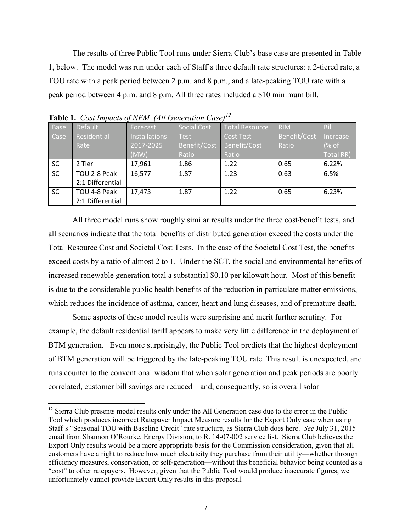The results of three Public Tool runs under Sierra Club's base case are presented in Table 1, below. The model was run under each of Staff's three default rate structures: a 2-tiered rate, a TOU rate with a peak period between 2 p.m. and 8 p.m., and a late-peaking TOU rate with a peak period between 4 p.m. and 8 p.m. All three rates included a \$10 minimum bill.

| <b>Base</b> | Default          | Forecast             | Social Cost  | <b>Total Resource</b> | <b>RIM</b>   | <b>Bill</b> |
|-------------|------------------|----------------------|--------------|-----------------------|--------------|-------------|
| Case        | Residential      | <b>Installations</b> | <b>Test</b>  | <b>Cost Test</b>      | Benefit/Cost | Increase    |
|             | Rate             | 2017-2025            | Benefit/Cost | Benefit/Cost          | Ratio        | (% of       |
|             |                  | (MW)                 | Ratio        | Ratio                 |              | Total RR)   |
| <b>SC</b>   | 2 Tier           | 17,961               | 1.86         | 1.22                  | 0.65         | 6.22%       |
| <b>SC</b>   | TOU 2-8 Peak     | 16,577               | 1.87         | 1.23                  | 0.63         | 6.5%        |
|             | 2:1 Differential |                      |              |                       |              |             |
| <b>SC</b>   | TOU 4-8 Peak     | 17,473               | 1.87         | 1.22                  | 0.65         | 6.23%       |
|             | 2:1 Differential |                      |              |                       |              |             |

**Table 1.** *Cost Impacts of NEM (All Generation Case)[12](#page-7-0)*

 $\overline{a}$ 

All three model runs show roughly similar results under the three cost/benefit tests, and all scenarios indicate that the total benefits of distributed generation exceed the costs under the Total Resource Cost and Societal Cost Tests. In the case of the Societal Cost Test, the benefits exceed costs by a ratio of almost 2 to 1. Under the SCT, the social and environmental benefits of increased renewable generation total a substantial \$0.10 per kilowatt hour. Most of this benefit is due to the considerable public health benefits of the reduction in particulate matter emissions, which reduces the incidence of asthma, cancer, heart and lung diseases, and of premature death.

Some aspects of these model results were surprising and merit further scrutiny. For example, the default residential tariff appears to make very little difference in the deployment of BTM generation. Even more surprisingly, the Public Tool predicts that the highest deployment of BTM generation will be triggered by the late-peaking TOU rate. This result is unexpected, and runs counter to the conventional wisdom that when solar generation and peak periods are poorly correlated, customer bill savings are reduced—and, consequently, so is overall solar

<span id="page-7-0"></span> $12$  Sierra Club presents model results only under the All Generation case due to the error in the Public Tool which produces incorrect Ratepayer Impact Measure results for the Export Only case when using Staff's "Seasonal TOU with Baseline Credit" rate structure, as Sierra Club does here. *See* July 31, 2015 email from Shannon O'Rourke, Energy Division, to R. 14-07-002 service list. Sierra Club believes the Export Only results would be a more appropriate basis for the Commission consideration, given that all customers have a right to reduce how much electricity they purchase from their utility—whether through efficiency measures, conservation, or self-generation—without this beneficial behavior being counted as a "cost" to other ratepayers. However, given that the Public Tool would produce inaccurate figures, we unfortunately cannot provide Export Only results in this proposal.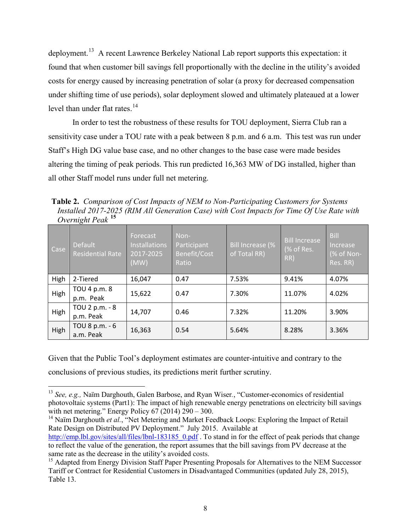deployment.<sup>[13](#page-8-0)</sup> A recent Lawrence Berkeley National Lab report supports this expectation: it found that when customer bill savings fell proportionally with the decline in the utility's avoided costs for energy caused by increasing penetration of solar (a proxy for decreased compensation under shifting time of use periods), solar deployment slowed and ultimately plateaued at a lower level than under flat rates. $14$ 

In order to test the robustness of these results for TOU deployment, Sierra Club ran a sensitivity case under a TOU rate with a peak between 8 p.m. and 6 a.m. This test was run under Staff's High DG value base case, and no other changes to the base case were made besides altering the timing of peak periods. This run predicted 16,363 MW of DG installed, higher than all other Staff model runs under full net metering.

**Table 2.** *Comparison of Cost Impacts of NEM to Non-Participating Customers for Systems Installed 2017-2025 (RIM All Generation Case) with Cost Impacts for Time Of Use Rate with Overnight Peak* **[15](#page-8-2)**

|      | ပ                                         |                                                       |                                              |                                  |                                    |                                                   |
|------|-------------------------------------------|-------------------------------------------------------|----------------------------------------------|----------------------------------|------------------------------------|---------------------------------------------------|
| Case | <b>Default</b><br><b>Residential Rate</b> | Forecast<br><b>Installations</b><br>2017-2025<br>(MW) | Non-<br>Participant<br>Benefit/Cost<br>Ratio | Bill Increase (%<br>of Total RR) | Bill Increase<br>(% of Res.<br>RR) | <b>Bill</b><br>Increase<br>(% of Non-<br>Res. RR) |
| High | 2-Tiered                                  | 16,047                                                | 0.47                                         | 7.53%                            | 9.41%                              | 4.07%                                             |
| High | TOU 4 p.m. 8<br>p.m. Peak                 | 15,622                                                | 0.47                                         | 7.30%                            | 11.07%                             | 4.02%                                             |
| High | TOU 2 p.m. - 8<br>p.m. Peak               | 14,707                                                | 0.46                                         | 7.32%                            | 11.20%                             | 3.90%                                             |
| High | TOU 8 p.m. - 6<br>a.m. Peak               | 16,363                                                | 0.54                                         | 5.64%                            | 8.28%                              | 3.36%                                             |

Given that the Public Tool's deployment estimates are counter-intuitive and contrary to the conclusions of previous studies, its predictions merit further scrutiny.

<span id="page-8-0"></span> $\overline{a}$ <sup>13</sup> *See, e.g.,* Naïm Darghouth, Galen Barbose, and Ryan Wiser*.*, "Customer-economics of residential photovoltaic systems (Part1): The impact of high renewable energy penetrations on electricity bill savings with net metering." Energy Policy  $67$  (2014) 290 – 300.

<span id="page-8-1"></span><sup>&</sup>lt;sup>14</sup> Naïm Darghouth *et al.*, "Net Metering and Market Feedback Loops: Exploring the Impact of Retail Rate Design on Distributed PV Deployment." July 2015. Available at

[http://emp.lbl.gov/sites/all/files/lbnl-183185\\_0.pdf](http://emp.lbl.gov/sites/all/files/lbnl-183185_0.pdf) . To stand in for the effect of peak periods that change to reflect the value of the generation, the report assumes that the bill savings from PV decrease at the same rate as the decrease in the utility's avoided costs.<br><sup>15</sup> Adapted from Energy Division Staff Paper Presenting Proposals for Alternatives to the NEM Successor

<span id="page-8-2"></span>Tariff or Contract for Residential Customers in Disadvantaged Communities (updated July 28, 2015), Table 13.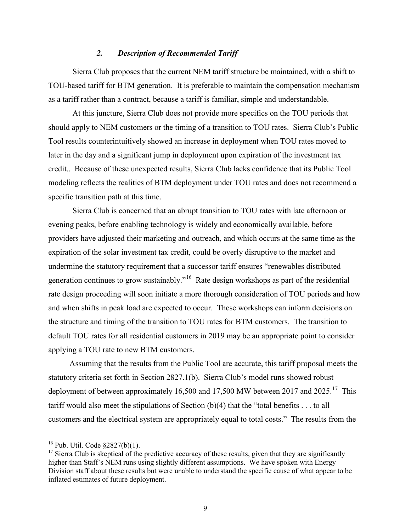#### *2. Description of Recommended Tariff*

Sierra Club proposes that the current NEM tariff structure be maintained, with a shift to TOU-based tariff for BTM generation. It is preferable to maintain the compensation mechanism as a tariff rather than a contract, because a tariff is familiar, simple and understandable.

 At this juncture, Sierra Club does not provide more specifics on the TOU periods that should apply to NEM customers or the timing of a transition to TOU rates. Sierra Club's Public Tool results counterintuitively showed an increase in deployment when TOU rates moved to later in the day and a significant jump in deployment upon expiration of the investment tax credit.. Because of these unexpected results, Sierra Club lacks confidence that its Public Tool modeling reflects the realities of BTM deployment under TOU rates and does not recommend a specific transition path at this time.

Sierra Club is concerned that an abrupt transition to TOU rates with late afternoon or evening peaks, before enabling technology is widely and economically available, before providers have adjusted their marketing and outreach, and which occurs at the same time as the expiration of the solar investment tax credit, could be overly disruptive to the market and undermine the statutory requirement that a successor tariff ensures "renewables distributed generation continues to grow sustainably."<sup>16</sup> Rate design workshops as part of the residential rate design proceeding will soon initiate a more thorough consideration of TOU periods and how and when shifts in peak load are expected to occur. These workshops can inform decisions on the structure and timing of the transition to TOU rates for BTM customers. The transition to default TOU rates for all residential customers in 2019 may be an appropriate point to consider applying a TOU rate to new BTM customers.

Assuming that the results from the Public Tool are accurate, this tariff proposal meets the statutory criteria set forth in Section 2827.1(b). Sierra Club's model runs showed robust deployment of between approximately 16,500 and [17](#page-9-1),500 MW between 2017 and 2025.<sup>17</sup> This tariff would also meet the stipulations of Section (b)(4) that the "total benefits . . . to all customers and the electrical system are appropriately equal to total costs." The results from the

<span id="page-9-0"></span> $16$  Pub. Util. Code  $$2827(b)(1)$ .

<span id="page-9-1"></span> $17$  Sierra Club is skeptical of the predictive accuracy of these results, given that they are significantly higher than Staff's NEM runs using slightly different assumptions. We have spoken with Energy Division staff about these results but were unable to understand the specific cause of what appear to be inflated estimates of future deployment.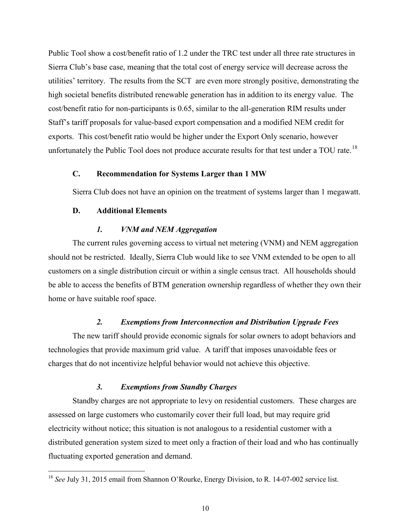Public Tool show a cost/benefit ratio of 1.2 under the TRC test under all three rate structures in Sierra Club's base case, meaning that the total cost of energy service will decrease across the utilities' territory. The results from the SCT are even more strongly positive, demonstrating the high societal benefits distributed renewable generation has in addition to its energy value. The cost/benefit ratio for non-participants is 0.65, similar to the all-generation RIM results under Staff's tariff proposals for value-based export compensation and a modified NEM credit for exports. This cost/benefit ratio would be higher under the Export Only scenario, however unfortunately the Public Tool does not produce accurate results for that test under a TOU rate.<sup>[18](#page-10-0)</sup>

# **C. Recommendation for Systems Larger than 1 MW**

Sierra Club does not have an opinion on the treatment of systems larger than 1 megawatt.

#### **D. Additional Elements**

 $\overline{a}$ 

#### *1. VNM and NEM Aggregation*

The current rules governing access to virtual net metering (VNM) and NEM aggregation should not be restricted. Ideally, Sierra Club would like to see VNM extended to be open to all customers on a single distribution circuit or within a single census tract. All households should be able to access the benefits of BTM generation ownership regardless of whether they own their home or have suitable roof space.

#### *2. Exemptions from Interconnection and Distribution Upgrade Fees*

 The new tariff should provide economic signals for solar owners to adopt behaviors and technologies that provide maximum grid value. A tariff that imposes unavoidable fees or charges that do not incentivize helpful behavior would not achieve this objective.

#### *3. Exemptions from Standby Charges*

Standby charges are not appropriate to levy on residential customers. These charges are assessed on large customers who customarily cover their full load, but may require grid electricity without notice; this situation is not analogous to a residential customer with a distributed generation system sized to meet only a fraction of their load and who has continually fluctuating exported generation and demand.

<span id="page-10-0"></span><sup>&</sup>lt;sup>18</sup> See July 31, 2015 email from Shannon O'Rourke, Energy Division, to R. 14-07-002 service list.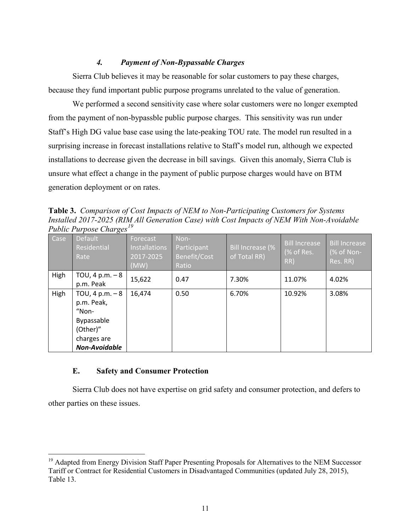# *4. Payment of Non-Bypassable Charges*

Sierra Club believes it may be reasonable for solar customers to pay these charges, because they fund important public purpose programs unrelated to the value of generation.

We performed a second sensitivity case where solar customers were no longer exempted from the payment of non-bypassble public purpose charges. This sensitivity was run under Staff's High DG value base case using the late-peaking TOU rate. The model run resulted in a surprising increase in forecast installations relative to Staff's model run, although we expected installations to decrease given the decrease in bill savings. Given this anomaly, Sierra Club is unsure what effect a change in the payment of public purpose charges would have on BTM generation deployment or on rates.

**Table 3.** *Comparison of Cost Impacts of NEM to Non-Participating Customers for Systems Installed 2017-2025 (RIM All Generation Case) with Cost Impacts of NEM With Non-Avoidable Public Purpose Charges[19](#page-11-0)* 

| Case | ັ<br>Default<br>Residential<br>Rate                                                                                       | Forecast<br><b>Installations</b><br>2017-2025<br>(MW) | Non-<br>Participant<br>Benefit/Cost<br>Ratio | Bill Increase (%<br>of Total RR) | <b>Bill Increase</b><br>(% of Res.<br>RR) | <b>Bill Increase</b><br>(% of Non-<br>Res. RR) |
|------|---------------------------------------------------------------------------------------------------------------------------|-------------------------------------------------------|----------------------------------------------|----------------------------------|-------------------------------------------|------------------------------------------------|
| High | TOU, 4 p.m. $-8$<br>p.m. Peak                                                                                             | 15,622                                                | 0.47                                         | 7.30%                            | 11.07%                                    | 4.02%                                          |
| High | TOU, 4 p.m. $-8$<br>p.m. Peak,<br>$^{\prime\prime}$ Non-<br>Bypassable<br>(Other)"<br>charges are<br><b>Non-Avoidable</b> | 16,474                                                | 0.50                                         | 6.70%                            | 10.92%                                    | 3.08%                                          |

### **E. Safety and Consumer Protection**

 $\overline{a}$ 

Sierra Club does not have expertise on grid safety and consumer protection, and defers to other parties on these issues.

<span id="page-11-0"></span><sup>&</sup>lt;sup>19</sup> Adapted from Energy Division Staff Paper Presenting Proposals for Alternatives to the NEM Successor Tariff or Contract for Residential Customers in Disadvantaged Communities (updated July 28, 2015), Table 13.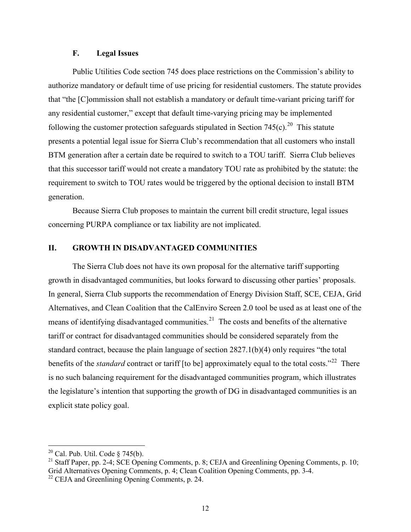### **F. Legal Issues**

Public Utilities Code section 745 does place restrictions on the Commission's ability to authorize mandatory or default time of use pricing for residential customers. The statute provides that "the [C]ommission shall not establish a mandatory or default time-variant pricing tariff for any residential customer," except that default time-varying pricing may be implemented following the customer protection safeguards stipulated in Section 745(c).<sup>[20](#page-12-0)</sup> This statute presents a potential legal issue for Sierra Club's recommendation that all customers who install BTM generation after a certain date be required to switch to a TOU tariff. Sierra Club believes that this successor tariff would not create a mandatory TOU rate as prohibited by the statute: the requirement to switch to TOU rates would be triggered by the optional decision to install BTM generation.

Because Sierra Club proposes to maintain the current bill credit structure, legal issues concerning PURPA compliance or tax liability are not implicated.

### **II. GROWTH IN DISADVANTAGED COMMUNITIES**

The Sierra Club does not have its own proposal for the alternative tariff supporting growth in disadvantaged communities, but looks forward to discussing other parties' proposals. In general, Sierra Club supports the recommendation of Energy Division Staff, SCE, CEJA, Grid Alternatives, and Clean Coalition that the CalEnviro Screen 2.0 tool be used as at least one of the means of identifying disadvantaged communities.<sup>21</sup> The costs and benefits of the alternative tariff or contract for disadvantaged communities should be considered separately from the standard contract, because the plain language of section 2827.1(b)(4) only requires "the total benefits of the *standard* contract or tariff [to be] approximately equal to the total costs."<sup>[22](#page-12-2)</sup> There is no such balancing requirement for the disadvantaged communities program, which illustrates the legislature's intention that supporting the growth of DG in disadvantaged communities is an explicit state policy goal.

 $20$  Cal. Pub. Util. Code § 745(b).

<span id="page-12-2"></span><span id="page-12-1"></span><span id="page-12-0"></span><sup>&</sup>lt;sup>21</sup> Staff Paper, pp. 2-4; SCE Opening Comments, p. 8; CEJA and Greenlining Opening Comments, p. 10; Grid Alternatives Opening Comments, p. 4; Clean Coalition Opening Comments, pp. 3-4.  $22$  CEJA and Greenlining Opening Comments, p. 24.